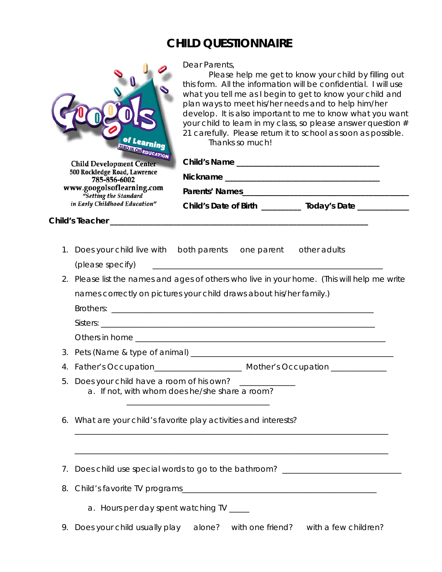## **CHILD QUESTIONNAIRE**

| of Learning<br><b>EROIN ON EDUCATION</b><br><b>Child Development Center</b><br>500 Rockledge Road, Lawrence<br>785-856-6002<br>www.googolsoflearning.com |                                                                                             | Dear Parents,<br>Please help me get to know your child by filling out<br>this form. All the information will be confidential. I will use<br>what you tell me as I begin to get to know your child and<br>plan ways to meet his/her needs and to help him/her<br>develop. It is also important to me to know what you want<br>your child to learn in my class, so please answer question #<br>21 carefully. Please return it to school as soon as possible.<br>Thanks so much! |                  |                                                                                  |  |
|----------------------------------------------------------------------------------------------------------------------------------------------------------|---------------------------------------------------------------------------------------------|-------------------------------------------------------------------------------------------------------------------------------------------------------------------------------------------------------------------------------------------------------------------------------------------------------------------------------------------------------------------------------------------------------------------------------------------------------------------------------|------------------|----------------------------------------------------------------------------------|--|
|                                                                                                                                                          |                                                                                             |                                                                                                                                                                                                                                                                                                                                                                                                                                                                               |                  |                                                                                  |  |
|                                                                                                                                                          | Child's Teacher ______________                                                              |                                                                                                                                                                                                                                                                                                                                                                                                                                                                               |                  |                                                                                  |  |
|                                                                                                                                                          |                                                                                             |                                                                                                                                                                                                                                                                                                                                                                                                                                                                               |                  |                                                                                  |  |
|                                                                                                                                                          | 1. Does your child live with both parents one parent other adults                           |                                                                                                                                                                                                                                                                                                                                                                                                                                                                               |                  |                                                                                  |  |
|                                                                                                                                                          | (please specify)                                                                            |                                                                                                                                                                                                                                                                                                                                                                                                                                                                               |                  |                                                                                  |  |
|                                                                                                                                                          | 2. Please list the names and ages of others who live in your home. (This will help me write |                                                                                                                                                                                                                                                                                                                                                                                                                                                                               |                  |                                                                                  |  |
|                                                                                                                                                          | names correctly on pictures your child draws about his/her family.)                         |                                                                                                                                                                                                                                                                                                                                                                                                                                                                               |                  |                                                                                  |  |
|                                                                                                                                                          |                                                                                             |                                                                                                                                                                                                                                                                                                                                                                                                                                                                               |                  |                                                                                  |  |
|                                                                                                                                                          |                                                                                             |                                                                                                                                                                                                                                                                                                                                                                                                                                                                               |                  |                                                                                  |  |
|                                                                                                                                                          |                                                                                             |                                                                                                                                                                                                                                                                                                                                                                                                                                                                               |                  |                                                                                  |  |
|                                                                                                                                                          |                                                                                             |                                                                                                                                                                                                                                                                                                                                                                                                                                                                               |                  |                                                                                  |  |
| 5.                                                                                                                                                       | Does your child have a room of his own?<br>a. If not, with whom does he/she share a room?   |                                                                                                                                                                                                                                                                                                                                                                                                                                                                               |                  |                                                                                  |  |
|                                                                                                                                                          | 6. What are your child's favorite play activities and interests?                            |                                                                                                                                                                                                                                                                                                                                                                                                                                                                               |                  |                                                                                  |  |
| 7.                                                                                                                                                       |                                                                                             |                                                                                                                                                                                                                                                                                                                                                                                                                                                                               |                  | Does child use special words to go to the bathroom? ____________________________ |  |
| 8.                                                                                                                                                       |                                                                                             |                                                                                                                                                                                                                                                                                                                                                                                                                                                                               |                  |                                                                                  |  |
|                                                                                                                                                          | a. Hours per day spent watching TV ____                                                     |                                                                                                                                                                                                                                                                                                                                                                                                                                                                               |                  |                                                                                  |  |
| 9.                                                                                                                                                       | Does your child usually play                                                                | alone?                                                                                                                                                                                                                                                                                                                                                                                                                                                                        | with one friend? | with a few children?                                                             |  |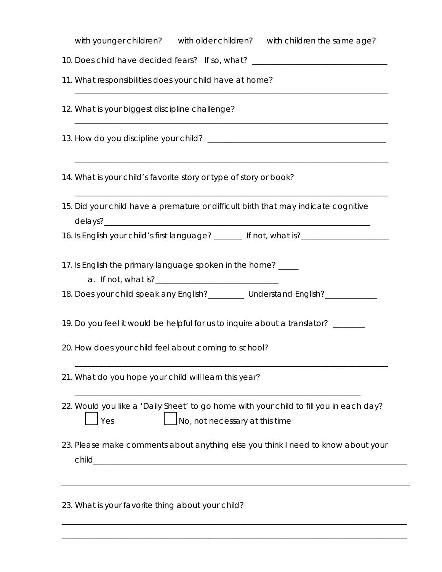| with younger children? with older children? with children the same age?                                                         |  |  |  |  |  |
|---------------------------------------------------------------------------------------------------------------------------------|--|--|--|--|--|
| 10. Does child have decided fears? If so, what? ________________________________                                                |  |  |  |  |  |
| 11. What responsibilities does your child have at home?                                                                         |  |  |  |  |  |
| 12. What is your biggest discipline challenge?                                                                                  |  |  |  |  |  |
|                                                                                                                                 |  |  |  |  |  |
| 14. What is your child's favorite story or type of story or book?                                                               |  |  |  |  |  |
| 15. Did your child have a premature or difficult birth that may indicate cognitive                                              |  |  |  |  |  |
|                                                                                                                                 |  |  |  |  |  |
| 17. Is English the primary language spoken in the home? _____                                                                   |  |  |  |  |  |
| 18. Does your child speak any English?_________ Understand English?_____________                                                |  |  |  |  |  |
| 19. Do you feel it would be helpful for us to inquire about a translator? ______                                                |  |  |  |  |  |
| 20. How does your child feel about coming to school?                                                                            |  |  |  |  |  |
| 21. What do you hope your child will learn this year?                                                                           |  |  |  |  |  |
| 22. Would you like a 'Daily Sheet' to go home with your child to fill you in each day?<br>No, not necessary at this time<br>Yes |  |  |  |  |  |
| 23. Please make comments about anything else you think I need to know about your<br>child                                       |  |  |  |  |  |
| 23. What is your favorite thing about your child?                                                                               |  |  |  |  |  |

\_\_\_\_\_\_\_\_\_\_\_\_\_\_\_\_\_\_\_\_\_\_\_\_\_\_\_\_\_\_\_\_\_\_\_\_\_\_\_\_\_\_\_\_\_\_\_\_\_\_\_\_\_\_\_\_\_\_\_\_\_\_\_\_\_\_\_\_\_\_\_\_\_\_\_\_\_\_\_\_\_\_\_\_\_\_\_

\_\_\_\_\_\_\_\_\_\_\_\_\_\_\_\_\_\_\_\_\_\_\_\_\_\_\_\_\_\_\_\_\_\_\_\_\_\_\_\_\_\_\_\_\_\_\_\_\_\_\_\_\_\_\_\_\_\_\_\_\_\_\_\_\_\_\_\_\_\_\_\_\_\_\_\_\_\_\_\_\_\_\_\_\_\_\_